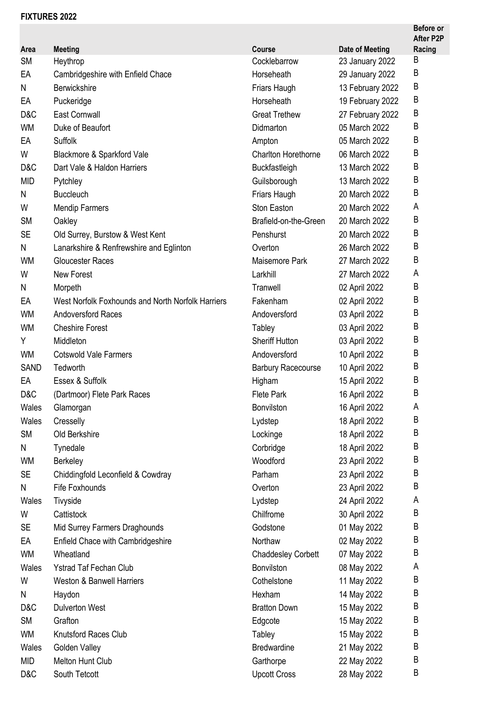## **FIXTURES 2022**

|             |                                                   |                            |                        | <b>Before or</b><br><b>After P2P</b> |
|-------------|---------------------------------------------------|----------------------------|------------------------|--------------------------------------|
| Area        | <b>Meeting</b>                                    | Course                     | <b>Date of Meeting</b> | Racing                               |
| <b>SM</b>   | Heythrop                                          | Cocklebarrow               | 23 January 2022        | Β                                    |
| EA          | Cambridgeshire with Enfield Chace                 | Horseheath                 | 29 January 2022        | В                                    |
| N           | Berwickshire                                      | Friars Haugh               | 13 February 2022       | B                                    |
| EA          | Puckeridge                                        | Horseheath                 | 19 February 2022       | B                                    |
| D&C         | <b>East Cornwall</b>                              | <b>Great Trethew</b>       | 27 February 2022       | B                                    |
| <b>WM</b>   | Duke of Beaufort                                  | Didmarton                  | 05 March 2022          | B                                    |
| EA          | Suffolk                                           | Ampton                     | 05 March 2022          | B                                    |
| W           | Blackmore & Sparkford Vale                        | <b>Charlton Horethorne</b> | 06 March 2022          | B                                    |
| D&C         | Dart Vale & Haldon Harriers                       | Buckfastleigh              | 13 March 2022          | B                                    |
| <b>MID</b>  | Pytchley                                          | Guilsborough               | 13 March 2022          | B                                    |
| N           | <b>Buccleuch</b>                                  | Friars Haugh               | 20 March 2022          | B                                    |
| W           | <b>Mendip Farmers</b>                             | Ston Easton                | 20 March 2022          | A                                    |
| <b>SM</b>   | Oakley                                            | Brafield-on-the-Green      | 20 March 2022          | B                                    |
| <b>SE</b>   | Old Surrey, Burstow & West Kent                   | Penshurst                  | 20 March 2022          | B                                    |
| N           | Lanarkshire & Renfrewshire and Eglinton           | Overton                    | 26 March 2022          | B                                    |
| <b>WM</b>   | <b>Gloucester Races</b>                           | Maisemore Park             | 27 March 2022          | B                                    |
| W           | New Forest                                        | Larkhill                   | 27 March 2022          | A                                    |
| N           | Morpeth                                           | Tranwell                   | 02 April 2022          | B                                    |
| EA          | West Norfolk Foxhounds and North Norfolk Harriers | Fakenham                   | 02 April 2022          | B                                    |
| <b>WM</b>   | <b>Andoversford Races</b>                         | Andoversford               | 03 April 2022          | B                                    |
| <b>WM</b>   | <b>Cheshire Forest</b>                            | Tabley                     | 03 April 2022          | В                                    |
| Υ           | Middleton                                         | <b>Sheriff Hutton</b>      | 03 April 2022          | B                                    |
| <b>WM</b>   | <b>Cotswold Vale Farmers</b>                      | Andoversford               | 10 April 2022          | B                                    |
| <b>SAND</b> | Tedworth                                          | <b>Barbury Racecourse</b>  | 10 April 2022          | B                                    |
| EA          | Essex & Suffolk                                   | Higham                     | 15 April 2022          | B                                    |
| D&C         | (Dartmoor) Flete Park Races                       | <b>Flete Park</b>          | 16 April 2022          | B                                    |
| Wales       | Glamorgan                                         | Bonvilston                 | 16 April 2022          | A                                    |
| Wales       | Cresselly                                         | Lydstep                    | 18 April 2022          | B                                    |
| <b>SM</b>   | Old Berkshire                                     | Lockinge                   | 18 April 2022          | Β                                    |
| Ν           | Tynedale                                          | Corbridge                  | 18 April 2022          | В                                    |
| <b>WM</b>   | <b>Berkeley</b>                                   | Woodford                   | 23 April 2022          | B                                    |
| <b>SE</b>   | Chiddingfold Leconfield & Cowdray                 | Parham                     | 23 April 2022          | B                                    |
| N           | Fife Foxhounds                                    | Overton                    | 23 April 2022          | Β                                    |
| Wales       | Tivyside                                          | Lydstep                    | 24 April 2022          | A                                    |
| W           | Cattistock                                        | Chilfrome                  | 30 April 2022          | Β                                    |
| SE          | Mid Surrey Farmers Draghounds                     | Godstone                   | 01 May 2022            | Β                                    |
| EA          | Enfield Chace with Cambridgeshire                 | Northaw                    | 02 May 2022            | Β                                    |
| WM          | Wheatland                                         | <b>Chaddesley Corbett</b>  | 07 May 2022            | B                                    |
| Wales       | <b>Ystrad Taf Fechan Club</b>                     | Bonvilston                 | 08 May 2022            | A                                    |
| W           | <b>Weston &amp; Banwell Harriers</b>              | Cothelstone                | 11 May 2022            | B                                    |
| N           | Haydon                                            | Hexham                     | 14 May 2022            | B                                    |
| D&C         | <b>Dulverton West</b>                             | <b>Bratton Down</b>        | 15 May 2022            | Β                                    |
| <b>SM</b>   | Grafton                                           | Edgcote                    | 15 May 2022            | В                                    |
| WM          | <b>Knutsford Races Club</b>                       | Tabley                     | 15 May 2022            | B                                    |
| Wales       | Golden Valley                                     | <b>Bredwardine</b>         | 21 May 2022            | B                                    |
| <b>MID</b>  | Melton Hunt Club                                  | Garthorpe                  | 22 May 2022            | B                                    |
| D&C         | South Tetcott                                     | <b>Upcott Cross</b>        | 28 May 2022            | B                                    |